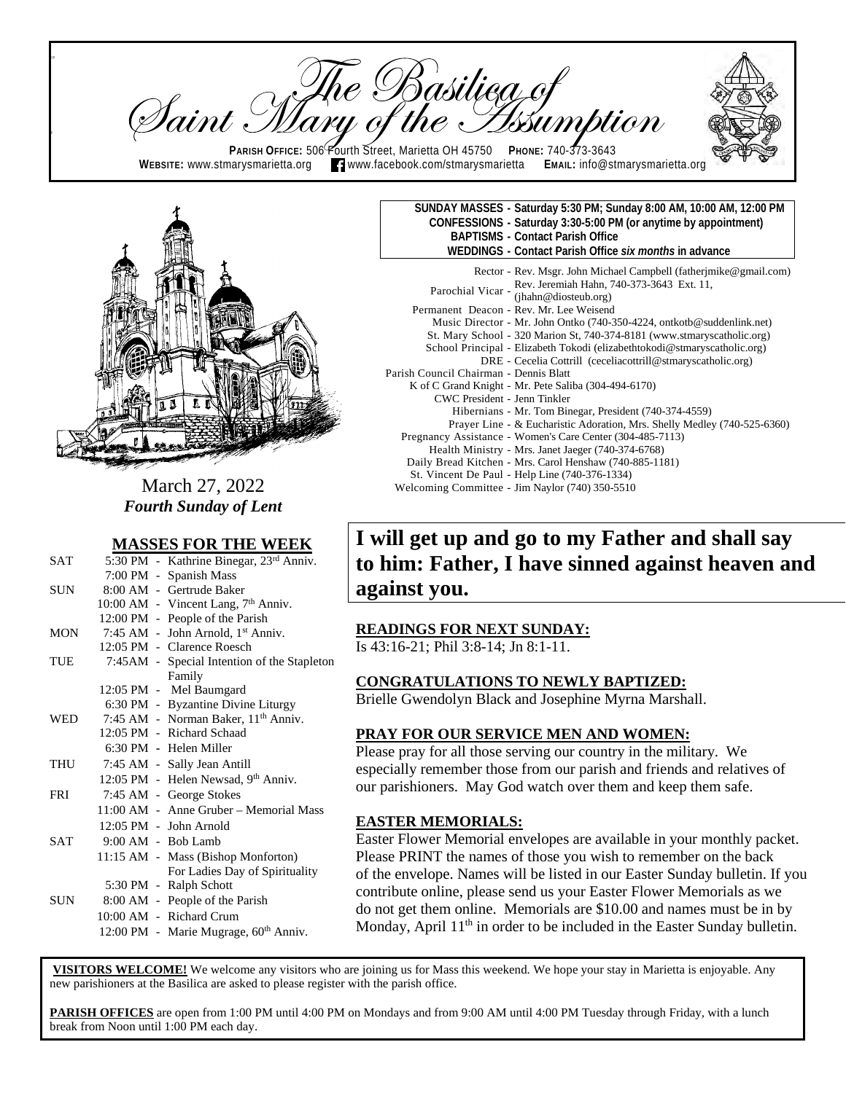re Basilieg of<br>y of the Issum Taint : **PARISH OFFICE:** 506 Fourth Street, Marietta OH 45750 PHONE: 740-373-3643<br>WEBSITE: www.stmarysmarietta.org **Tamaww.facebook.com/stmarysmarietta** EMAIL: info@stmarysmarietta.org  $\blacksquare$  www.facebook.com/stmarysmarietta



 $\mathfrak{p}$ 

ll

March 27, 2022 *Fourth Sunday of Lent*

#### **MASSES FOR THE WEEK**

|            | $\cdots$                                        |
|------------|-------------------------------------------------|
| <b>SAT</b> | 5:30 PM - Kathrine Binegar, 23rd Anniv.         |
|            | 7:00 PM - Spanish Mass                          |
| SUN -      | 8:00 AM - Gertrude Baker                        |
|            | 10:00 AM - Vincent Lang, 7 <sup>th</sup> Anniv. |
|            | 12:00 PM - People of the Parish                 |
| MON        | 7:45 AM - John Arnold, 1 <sup>st</sup> Anniv.   |
|            | 12:05 PM - Clarence Roesch                      |
| TUE        | 7:45AM - Special Intention of the Stapleton     |
|            | Family                                          |
|            | 12:05 PM - Mel Baumgard                         |
|            | 6:30 PM - Byzantine Divine Liturgy              |
| <b>WED</b> | 7:45 AM - Norman Baker, 11 <sup>th</sup> Anniv. |
|            | 12:05 PM - Richard Schaad                       |
|            | 6:30 PM - Helen Miller                          |
| <b>THU</b> | 7:45 AM - Sally Jean Antill                     |
|            | 12:05 PM - Helen Newsad, 9th Anniv.             |
| <b>FRI</b> | 7:45 AM - George Stokes                         |
|            | 11:00 AM - Anne Gruber - Memorial Mass          |
|            | $12:05$ PM - John Arnold                        |
| <b>SAT</b> | $9:00$ AM - Bob Lamb                            |
|            | 11:15 AM - Mass (Bishop Monforton)              |
|            | For Ladies Day of Spirituality                  |
|            | 5:30 PM - Ralph Schott                          |
| SUN        | 8:00 AM - People of the Parish                  |
|            | 10:00 AM - Richard Crum                         |
|            | 12:00 PM - Marie Mugrage, 60th Anniv.           |

| SUNDAY MASSES - Saturday 5:30 PM; Sunday 8:00 AM, 10:00 AM, 12:00 PM<br>CONFESSIONS - Saturday 3:30-5:00 PM (or anytime by appointment)<br><b>BAPTISMS - Contact Parish Office</b><br>WEDDINGS - Contact Parish Office six months in advance |
|----------------------------------------------------------------------------------------------------------------------------------------------------------------------------------------------------------------------------------------------|
| Rector - Rev. Msgr. John Michael Campbell (fatherimike@gmail.com)<br>Parochial Vicar - Rev. Jeremiah Hahn, 740-373-3643 Ext. 11, $(ihahn@diosteub.org)$                                                                                      |
| Permanent Deacon - Rev. Mr. Lee Weisend                                                                                                                                                                                                      |
| Music Director - Mr. John Ontko (740-350-4224, ontkotb@suddenlink.net)<br>St. Mary School - 320 Marion St, 740-374-8181 (www.stmaryscatholic.org)                                                                                            |
| School Principal - Elizabeth Tokodi (elizabethtokodi@stmaryscatholic.org)                                                                                                                                                                    |
| DRE - Cecelia Cottrill (ceceliacottrill@stmaryscatholic.org)                                                                                                                                                                                 |
| Parish Council Chairman - Dennis Blatt                                                                                                                                                                                                       |
| K of C Grand Knight - Mr. Pete Saliba (304-494-6170)                                                                                                                                                                                         |
| CWC President - Jenn Tinkler                                                                                                                                                                                                                 |
| Hibernians - Mr. Tom Binegar, President (740-374-4559)                                                                                                                                                                                       |
| Prayer Line - & Eucharistic Adoration, Mrs. Shelly Medley (740-525-6360)                                                                                                                                                                     |
| Pregnancy Assistance - Women's Care Center (304-485-7113)                                                                                                                                                                                    |
| Health Ministry - Mrs. Janet Jaeger (740-374-6768)                                                                                                                                                                                           |
| Daily Bread Kitchen - Mrs. Carol Henshaw (740-885-1181)                                                                                                                                                                                      |
| St. Vincent De Paul - Help Line (740-376-1334)                                                                                                                                                                                               |
| Welcoming Committee - Jim Naylor (740) 350-5510                                                                                                                                                                                              |

## **I will get up and go to my Father and shall say to him: Father, I have sinned against heaven and against you.**

### **READINGS FOR NEXT SUNDAY:**

Is 43:16-21; Phil 3:8-14; Jn 8:1-11.

#### **CONGRATULATIONS TO NEWLY BAPTIZED:**

Brielle Gwendolyn Black and Josephine Myrna Marshall.

### **PRAY FOR OUR SERVICE MEN AND WOMEN:**

Please pray for all those serving our country in the military. We especially remember those from our parish and friends and relatives of our parishioners. May God watch over them and keep them safe.

### **EASTER MEMORIALS:**

Easter Flower Memorial envelopes are available in your monthly packet. Please PRINT the names of those you wish to remember on the back of the envelope. Names will be listed in our Easter Sunday bulletin. If you contribute online, please send us your Easter Flower Memorials as we do not get them online. Memorials are \$10.00 and names must be in by Monday, April  $11<sup>th</sup>$  in order to be included in the Easter Sunday bulletin.

**VISITORS WELCOME!** We welcome any visitors who are joining us for Mass this weekend. We hope your stay in Marietta is enjoyable. Any new parishioners at the Basilica are asked to please register with the parish office.

**PARISH OFFICES** are open from 1:00 PM until 4:00 PM on Mondays and from 9:00 AM until 4:00 PM Tuesday through Friday, with a lunch break from Noon until 1:00 PM each day.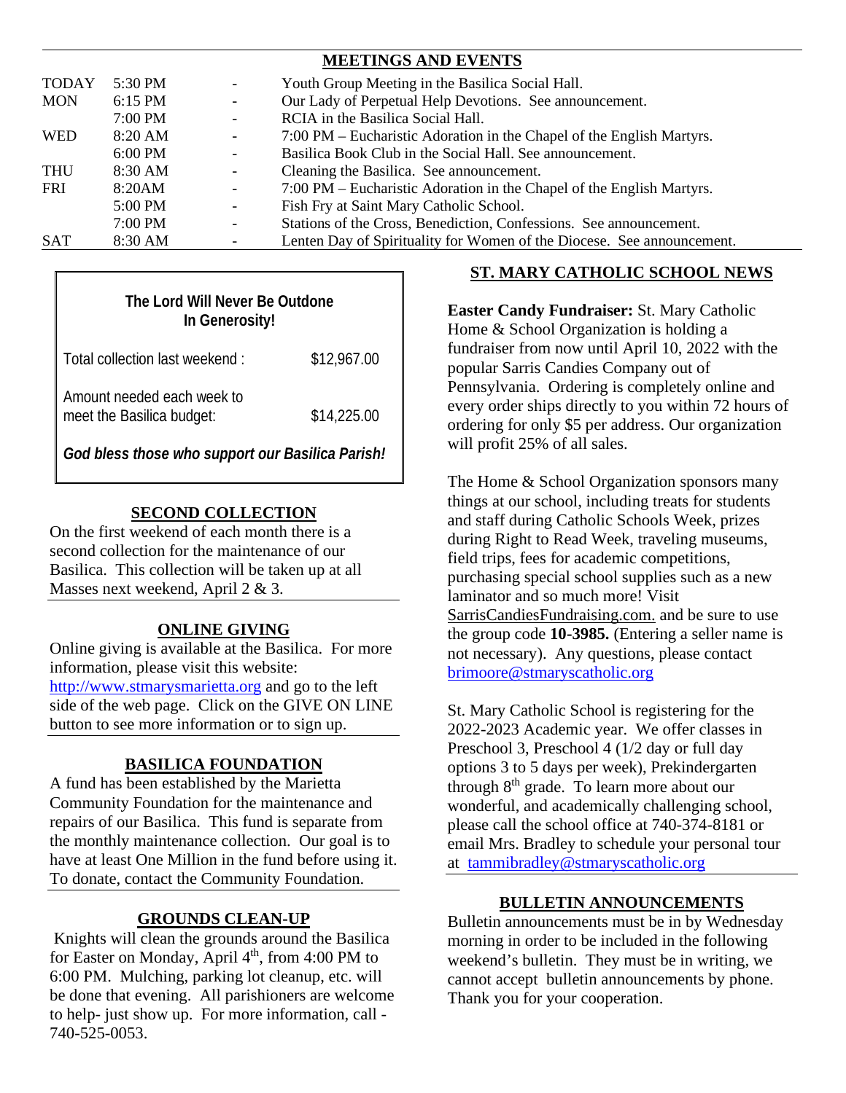|              |           |                          | <b>MEETINGS AND EVENTS</b>                                             |
|--------------|-----------|--------------------------|------------------------------------------------------------------------|
| <b>TODAY</b> | 5:30 PM   | $\overline{\phantom{a}}$ | Youth Group Meeting in the Basilica Social Hall.                       |
| <b>MON</b>   | 6:15 PM   | $\overline{\phantom{a}}$ | Our Lady of Perpetual Help Devotions. See announcement.                |
|              | 7:00 PM   | $\overline{\phantom{a}}$ | RCIA in the Basilica Social Hall.                                      |
| <b>WED</b>   | 8:20 AM   | $\overline{\phantom{a}}$ | 7:00 PM – Eucharistic Adoration in the Chapel of the English Martyrs.  |
|              | $6:00$ PM | $\overline{\phantom{a}}$ | Basilica Book Club in the Social Hall. See announcement.               |
| THU          | 8:30 AM   | $\overline{\phantom{a}}$ | Cleaning the Basilica. See announcement.                               |
| <b>FRI</b>   | 8:20AM    | $\overline{\phantom{a}}$ | 7:00 PM – Eucharistic Adoration in the Chapel of the English Martyrs.  |
|              | 5:00 PM   | $-$                      | Fish Fry at Saint Mary Catholic School.                                |
|              | $7:00$ PM | $\overline{\phantom{a}}$ | Stations of the Cross, Benediction, Confessions. See announcement.     |
| <b>SAT</b>   | 8:30 AM   | $\overline{\phantom{a}}$ | Lenten Day of Spirituality for Women of the Diocese. See announcement. |

## **The Lord Will Never Be Outdone In Generosity!**

| Total collection last weekend:                          | \$12,967.00 |
|---------------------------------------------------------|-------------|
| Amount needed each week to<br>meet the Basilica budget: | \$14,225.00 |

*God bless those who support our Basilica Parish!*

### **SECOND COLLECTION**

On the first weekend of each month there is a second collection for the maintenance of our Basilica. This collection will be taken up at all Masses next weekend, April 2 & 3.

### **ONLINE GIVING**

Online giving is available at the Basilica. For more information, please visit this website: [http://www.stmarysmarietta.org](http://www.stmarysmarietta.org/) and go to the left side of the web page. Click on the GIVE ON LINE button to see more information or to sign up.

### **BASILICA FOUNDATION**

A fund has been established by the Marietta Community Foundation for the maintenance and repairs of our Basilica. This fund is separate from the monthly maintenance collection. Our goal is to have at least One Million in the fund before using it. To donate, contact the Community Foundation.

### **GROUNDS CLEAN-UP**

 Knights will clean the grounds around the Basilica for Easter on Monday, April  $4<sup>th</sup>$ , from 4:00 PM to 6:00 PM. Mulching, parking lot cleanup, etc. will be done that evening. All parishioners are welcome to help- just show up. For more information, call - 740-525-0053.

### **ST. MARY CATHOLIC SCHOOL NEWS**

**Easter Candy Fundraiser:** St. Mary Catholic Home & School Organization is holding a fundraiser from now until April 10, 2022 with the popular Sarris Candies Company out of Pennsylvania. Ordering is completely online and every order ships directly to you within 72 hours of ordering for only \$5 per address. Our organization will profit 25% of all sales.

The Home & School Organization sponsors many things at our school, including treats for students and staff during Catholic Schools Week, prizes during Right to Read Week, traveling museums, field trips, fees for academic competitions, purchasing special school supplies such as a new laminator and so much more! Visit SarrisCandiesFundraising.com. and be sure to use the group code **10-3985.** (Entering a seller name is not necessary). Any questions, please contact [brimoore@stmaryscatholic.org](mailto:brimoore@stmaryscatholic.org)

St. Mary Catholic School is registering for the 2022-2023 Academic year. We offer classes in Preschool 3, Preschool 4 (1/2 day or full day options 3 to 5 days per week), Prekindergarten through  $8<sup>th</sup>$  grade. To learn more about our wonderful, and academically challenging school, please call the school office at 740-374-8181 or email Mrs. Bradley to schedule your personal tour at [tammibradley@stmaryscatholic.org](mailto:tammibradley@stmaryscatholic.org) 

### **BULLETIN ANNOUNCEMENTS**

Bulletin announcements must be in by Wednesday morning in order to be included in the following weekend's bulletin. They must be in writing, we cannot accept bulletin announcements by phone. Thank you for your cooperation.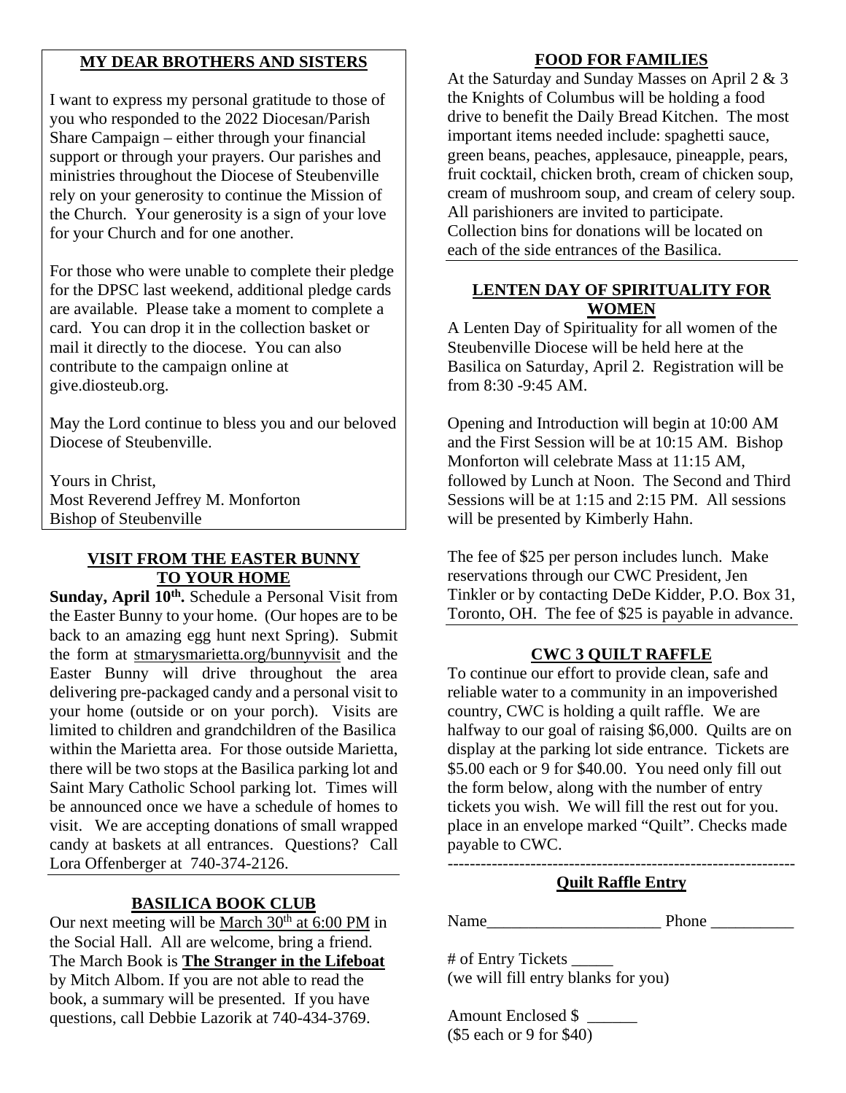### **MY DEAR BROTHERS AND SISTERS**

I want to express my personal gratitude to those of you who responded to the 2022 Diocesan/Parish Share Campaign – either through your financial support or through your prayers. Our parishes and ministries throughout the Diocese of Steubenville rely on your generosity to continue the Mission of the Church. Your generosity is a sign of your love for your Church and for one another.

For those who were unable to complete their pledge for the DPSC last weekend, additional pledge cards are available. Please take a moment to complete a card. You can drop it in the collection basket or mail it directly to the diocese. You can also contribute to the campaign online at give.diosteub.org.

May the Lord continue to bless you and our beloved Diocese of Steubenville.

Yours in Christ, Most Reverend Jeffrey M. Monforton Bishop of Steubenville

### **VISIT FROM THE EASTER BUNNY TO YOUR HOME**

Sunday, April 10<sup>th</sup>. Schedule a Personal Visit from the Easter Bunny to your home. (Our hopes are to be back to an amazing egg hunt next Spring). Submit the form at stmarysmarietta.org/bunnyvisit and the Easter Bunny will drive throughout the area delivering pre-packaged candy and a personal visit to your home (outside or on your porch). Visits are limited to children and grandchildren of the Basilica within the Marietta area. For those outside Marietta, there will be two stops at the Basilica parking lot and Saint Mary Catholic School parking lot. Times will be announced once we have a schedule of homes to visit. We are accepting donations of small wrapped candy at baskets at all entrances. Questions? Call Lora Offenberger at 740-374-2126.

### **BASILICA BOOK CLUB**

Our next meeting will be March  $30<sup>th</sup>$  at 6:00 PM in the Social Hall. All are welcome, bring a friend. The March Book is **The Stranger in the Lifeboat** by Mitch Albom. If you are not able to read the book, a summary will be presented. If you have questions, call Debbie Lazorik at 740-434-3769.

### **FOOD FOR FAMILIES**

At the Saturday and Sunday Masses on April 2 & 3 the Knights of Columbus will be holding a food drive to benefit the Daily Bread Kitchen. The most important items needed include: spaghetti sauce, green beans, peaches, applesauce, pineapple, pears, fruit cocktail, chicken broth, cream of chicken soup, cream of mushroom soup, and cream of celery soup. All parishioners are invited to participate. Collection bins for donations will be located on each of the side entrances of the Basilica.

### **LENTEN DAY OF SPIRITUALITY FOR WOMEN**

A Lenten Day of Spirituality for all women of the Steubenville Diocese will be held here at the Basilica on Saturday, April 2. Registration will be from 8:30 -9:45 AM.

Opening and Introduction will begin at 10:00 AM and the First Session will be at 10:15 AM. Bishop Monforton will celebrate Mass at 11:15 AM, followed by Lunch at Noon. The Second and Third Sessions will be at 1:15 and 2:15 PM. All sessions will be presented by Kimberly Hahn.

The fee of \$25 per person includes lunch. Make reservations through our CWC President, Jen Tinkler or by contacting DeDe Kidder, P.O. Box 31, Toronto, OH. The fee of \$25 is payable in advance.

### **CWC 3 QUILT RAFFLE**

To continue our effort to provide clean, safe and reliable water to a community in an impoverished country, CWC is holding a quilt raffle. We are halfway to our goal of raising \$6,000. Quilts are on display at the parking lot side entrance. Tickets are \$5.00 each or 9 for \$40.00. You need only fill out the form below, along with the number of entry tickets you wish. We will fill the rest out for you. place in an envelope marked "Quilt". Checks made payable to CWC.

### --------------------------------------------------------------- **Quilt Raffle Entry**

Name\_\_\_\_\_\_\_\_\_\_\_\_\_\_\_\_\_\_\_\_\_ Phone \_\_\_\_\_\_\_\_\_\_

# of Entry Tickets \_\_\_\_\_ (we will fill entry blanks for you)

Amount Enclosed \$ \_\_\_\_\_\_ (\$5 each or 9 for \$40)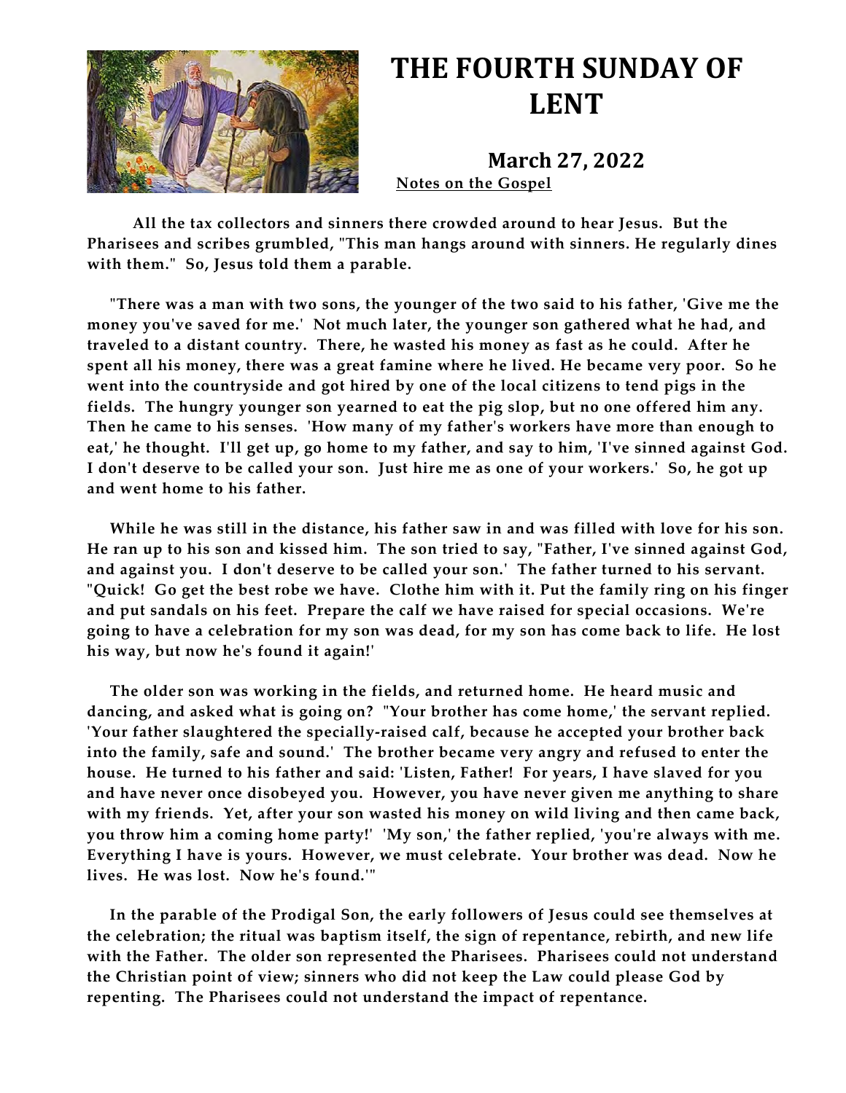

## **THE FOURTH SUNDAY OF LENT**

**March 27, 2022 Notes on the Gospel** 

 **All the tax collectors and sinners there crowded around to hear Jesus. But the Pharisees and scribes grumbled, "This man hangs around with sinners. He regularly dines with them." So, Jesus told them a parable.**

 **"There was a man with two sons, the younger of the two said to his father, 'Give me the money you've saved for me.' Not much later, the younger son gathered what he had, and traveled to a distant country. There, he wasted his money as fast as he could. After he spent all his money, there was a great famine where he lived. He became very poor. So he went into the countryside and got hired by one of the local citizens to tend pigs in the fields. The hungry younger son yearned to eat the pig slop, but no one offered him any. Then he came to his senses. 'How many of my father's workers have more than enough to eat,' he thought. I'll get up, go home to my father, and say to him, 'I've sinned against God. I don't deserve to be called your son. Just hire me as one of your workers.' So, he got up and went home to his father.**

 **While he was still in the distance, his father saw in and was filled with love for his son. He ran up to his son and kissed him. The son tried to say, "Father, I've sinned against God, and against you. I don't deserve to be called your son.' The father turned to his servant. "Quick! Go get the best robe we have. Clothe him with it. Put the family ring on his finger and put sandals on his feet. Prepare the calf we have raised for special occasions. We're going to have a celebration for my son was dead, for my son has come back to life. He lost his way, but now he's found it again!'**

 **The older son was working in the fields, and returned home. He heard music and dancing, and asked what is going on? "Your brother has come home,' the servant replied. 'Your father slaughtered the specially-raised calf, because he accepted your brother back into the family, safe and sound.' The brother became very angry and refused to enter the house. He turned to his father and said: 'Listen, Father! For years, I have slaved for you and have never once disobeyed you. However, you have never given me anything to share with my friends. Yet, after your son wasted his money on wild living and then came back, you throw him a coming home party!' 'My son,' the father replied, 'you're always with me. Everything I have is yours. However, we must celebrate. Your brother was dead. Now he lives. He was lost. Now he's found.'"**

 **In the parable of the Prodigal Son, the early followers of Jesus could see themselves at the celebration; the ritual was baptism itself, the sign of repentance, rebirth, and new life with the Father. The older son represented the Pharisees. Pharisees could not understand the Christian point of view; sinners who did not keep the Law could please God by repenting. The Pharisees could not understand the impact of repentance.**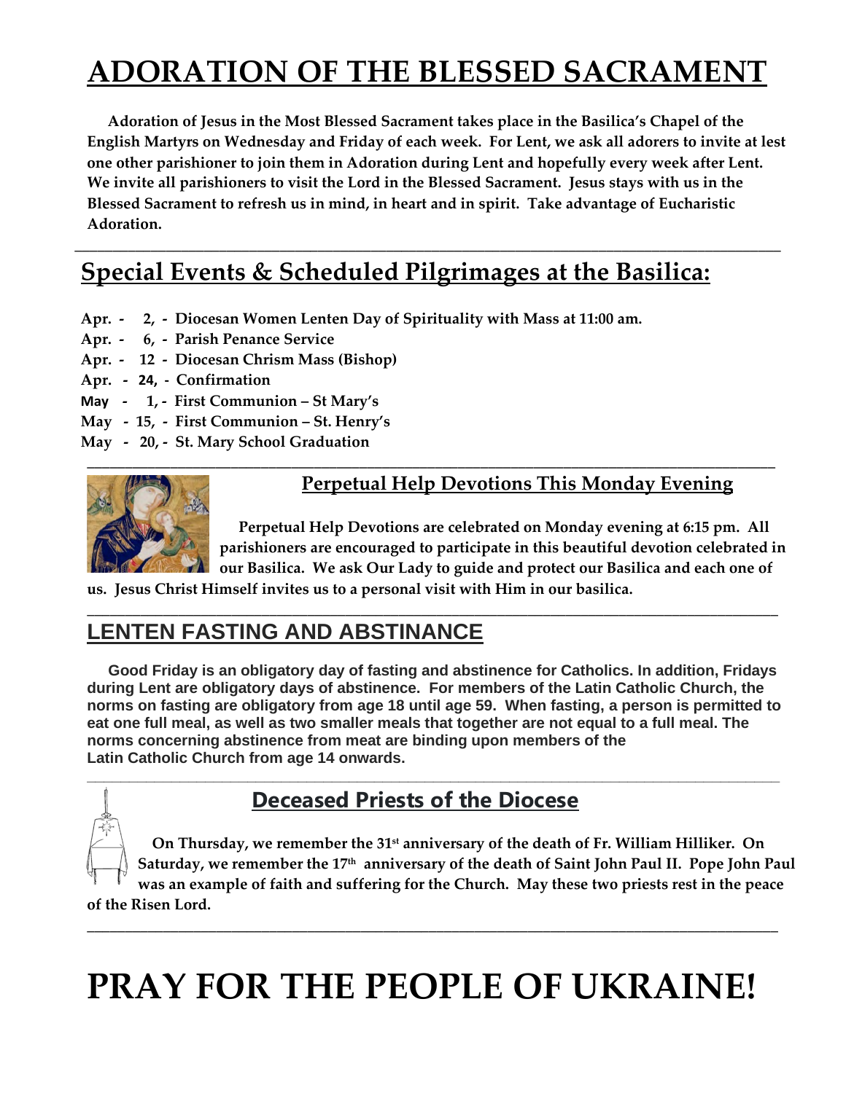## **ADORATION OF THE BLESSED SACRAMENT**

 **Adoration of Jesus in the Most Blessed Sacrament takes place in the Basilica's Chapel of the English Martyrs on Wednesday and Friday of each week. For Lent, we ask all adorers to invite at lest one other parishioner to join them in Adoration during Lent and hopefully every week after Lent. We invite all parishioners to visit the Lord in the Blessed Sacrament. Jesus stays with us in the Blessed Sacrament to refresh us in mind, in heart and in spirit. Take advantage of Eucharistic Adoration.** 

**\_\_\_\_\_\_\_\_\_\_\_\_\_\_\_\_\_\_\_\_\_\_\_\_\_\_\_\_\_\_\_\_\_\_\_\_\_\_\_\_\_\_\_\_\_\_\_\_\_\_\_\_\_\_\_\_\_\_\_\_\_\_\_\_\_\_\_\_\_\_\_\_\_\_\_\_\_\_\_\_\_\_\_\_\_\_\_\_\_\_\_\_\_** 

## **Special Events & Scheduled Pilgrimages at the Basilica:**

- **Apr. 2, Diocesan Women Lenten Day of Spirituality with Mass at 11:00 am.**
- **Apr. 6, Parish Penance Service**
- **Apr. 12 Diocesan Chrism Mass (Bishop)**
- **Apr. - 24, Confirmation**
- **May 1, First Communion St Mary's**
- **May 15, First Communion St. Henry's**
- **May 20, St. Mary School Graduation**



### **Perpetual Help Devotions This Monday Evening**

 **Perpetual Help Devotions are celebrated on Monday evening at 6:15 pm. All parishioners are encouraged to participate in this beautiful devotion celebrated in our Basilica. We ask Our Lady to guide and protect our Basilica and each one of** 

**us. Jesus Christ Himself invites us to a personal visit with Him in our basilica.** 

## **LENTEN FASTING AND ABSTINANCE**

 **Good Friday is an obligatory day of fasting and abstinence for Catholics. In addition, Fridays during Lent are obligatory days of abstinence. For members of the Latin Catholic Church, the norms on fasting are obligatory from age 18 until age 59. When fasting, a person is permitted to eat one full meal, as well as two smaller meals that together are not equal to a full meal. The norms concerning abstinence from meat are binding upon members of the Latin Catholic Church from age 14 onwards.** 

**\_\_\_\_\_\_\_\_\_\_\_\_\_\_\_\_\_\_\_\_\_\_\_\_\_\_\_\_\_\_\_\_\_\_\_\_\_\_\_\_\_\_\_\_\_\_\_\_\_\_\_\_\_\_\_\_\_\_\_\_\_\_\_\_\_\_\_\_\_\_\_\_\_\_\_\_\_\_\_\_\_\_** 

**\_\_\_\_\_\_\_\_\_\_\_\_\_\_\_\_\_\_\_\_\_\_\_\_\_\_\_\_\_\_\_\_\_\_\_\_\_\_\_\_\_\_\_\_\_\_\_\_\_\_\_\_\_\_\_\_\_\_\_\_\_\_\_\_\_\_\_\_\_\_\_\_\_\_\_\_\_\_\_\_\_\_\_\_\_\_\_\_\_\_\_** 

## **Deceased Priests of the Diocese**

 **On Thursday, we remember the 31st anniversary of the death of Fr. William Hilliker. On**  Saturday, we remember the 17<sup>th</sup> anniversary of the death of Saint John Paul II. Pope John Paul **was an example of faith and suffering for the Church. May these two priests rest in the peace of the Risen Lord.** 

**\_\_\_\_\_\_\_\_\_\_\_\_\_\_\_\_\_\_\_\_\_\_\_\_\_\_\_\_\_\_\_\_\_\_\_\_\_\_\_\_\_\_\_\_\_\_\_\_\_\_\_\_\_\_\_\_\_\_\_\_\_\_\_\_\_\_\_\_\_\_\_\_\_\_\_\_\_\_\_\_\_\_\_\_\_\_\_\_\_\_\_** 

# **PRAY FOR THE PEOPLE OF UKRAINE!**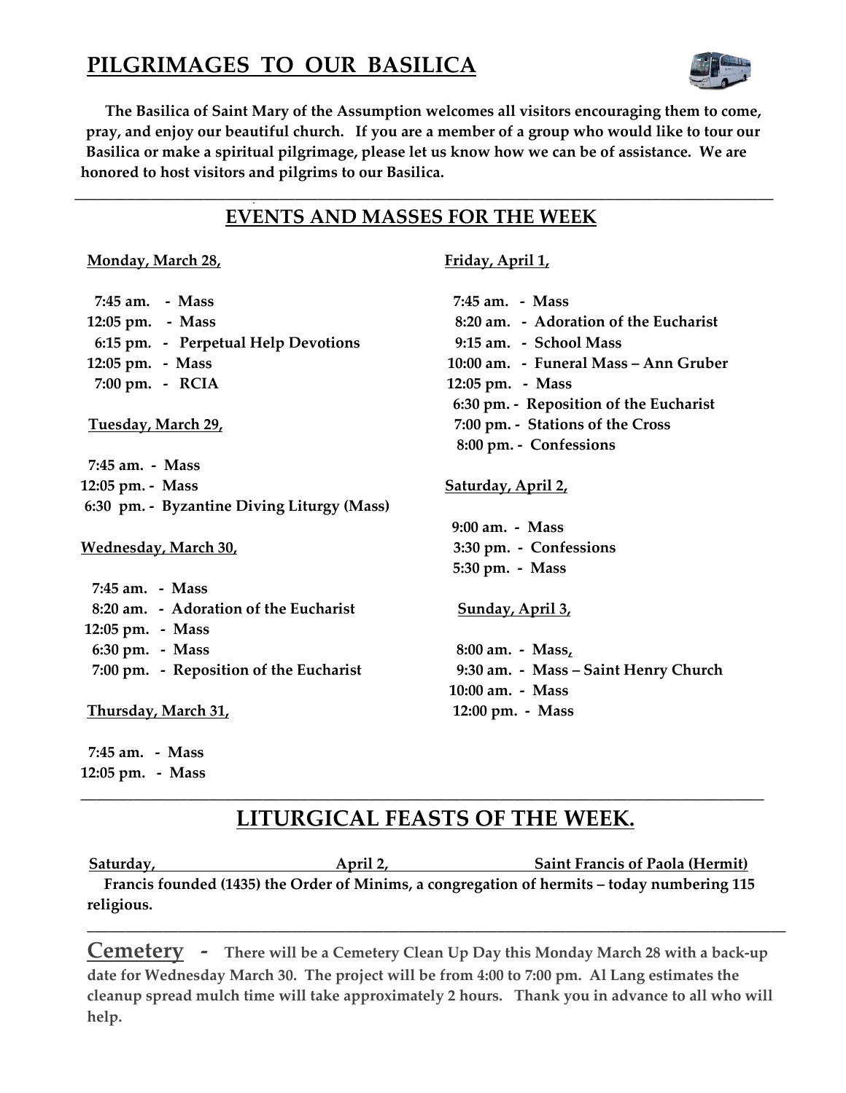## **PILGRIMAGES TO OUR BASILICA**



 **The Basilica of Saint Mary of the Assumption welcomes all visitors encouraging them to come, pray, and enjoy our beautiful church. If you are a member of a group who would like to tour our Basilica or make a spiritual pilgrimage, please let us know how we can be of assistance. We are honored to host visitors and pilgrims to our Basilica.**

**\_\_\_\_\_\_\_\_\_\_\_\_\_\_\_\_\_\_\_\_\_\_\_\_\_\_\_\_\_\_\_\_\_\_\_\_\_\_\_\_\_\_\_\_\_\_\_\_\_\_\_\_\_\_\_\_\_\_\_\_\_\_\_\_\_\_\_\_\_\_\_\_\_\_\_\_\_\_\_\_\_\_\_\_\_\_\_\_\_\_\_\_** 

### **EVENTS AND MASSES FOR THE WEEK**

### **Monday, March 28, The Example 28 and April 1, April 1, April 1, April 1, April 1, April 1, April 1, April 1, April 1, April 1, April 1, April 1, April 1, April 1, April 1, April 1, April 1, April 1, April 1, April 1, Apri**

<sup>D</sup>

| 7:45 am. - Mass                            | 7:45 am. - Mass                        |
|--------------------------------------------|----------------------------------------|
| 12:05 pm. - Mass                           | 8:20 am. - Adoration of the Eucharist  |
| 6:15 pm. - Perpetual Help Devotions        | 9:15 am. - School Mass                 |
| 12:05 pm. - Mass                           | 10:00 am. - Funeral Mass - Ann Gruber  |
| 7:00 pm. - RCIA                            | 12:05 pm. - Mass                       |
|                                            | 6:30 pm. - Reposition of the Eucharist |
| Tuesday, March 29,                         | 7:00 pm. - Stations of the Cross       |
|                                            | 8:00 pm. - Confessions                 |
| 7:45 am. - Mass                            |                                        |
| 12:05 pm. - Mass                           | <u>Saturday, April 2,</u>              |
| 6:30 pm. - Byzantine Diving Liturgy (Mass) |                                        |
|                                            | 9:00 am. - Mass                        |
| <b>Wednesday, March 30,</b>                | 3:30 pm. - Confessions                 |
|                                            | 5:30 pm. - Mass                        |
| 7:45 am. - Mass                            |                                        |
| 8:20 am. - Adoration of the Eucharist      | Sunday, April 3,                       |
| 12:05 pm. - Mass                           |                                        |
| 6:30 pm. - Mass                            | 8:00 am. - Mass,                       |
| 7:00 pm. - Reposition of the Eucharist     | 9:30 am. - Mass – Saint Henry Church   |
|                                            | 10:00 am. - Mass                       |
| Thursday, March 31,                        | 12:00 pm. - Mass                       |

 **7:45 am. - Mass 12:05 pm. - Mass** 

## **LITURGICAL FEASTS OF THE WEEK.**

**\_\_\_\_\_\_\_\_\_\_\_\_\_\_\_\_\_\_\_\_\_\_\_\_\_\_\_\_\_\_\_\_\_\_\_\_\_\_\_\_\_\_\_\_\_\_\_\_\_\_\_\_\_\_\_\_\_\_\_\_\_\_\_\_\_\_\_\_\_\_\_\_\_\_\_\_\_\_\_\_\_\_\_\_\_\_\_\_\_\_** 

Saturday, **April 2,** April 2, Saint Francis of Paola (Hermit)  **Francis founded (1435) the Order of Minims, a congregation of hermits – today numbering 115 religious.** 

**Cemetery - There will be a Cemetery Clean Up Day this Monday March 28 with a back-up date for Wednesday March 30. The project will be from 4:00 to 7:00 pm. Al Lang estimates the cleanup spread mulch time will take approximately 2 hours. Thank you in advance to all who will help.** 

**\_\_\_\_\_\_\_\_\_\_\_\_\_\_\_\_\_\_\_\_\_\_\_\_\_\_\_\_\_\_\_\_\_\_\_\_\_\_\_\_\_\_\_\_\_\_\_\_\_\_\_\_\_\_\_\_\_\_\_\_\_\_\_\_\_\_\_\_\_\_\_\_\_\_\_\_\_\_\_\_\_\_\_\_\_\_\_\_\_\_\_\_**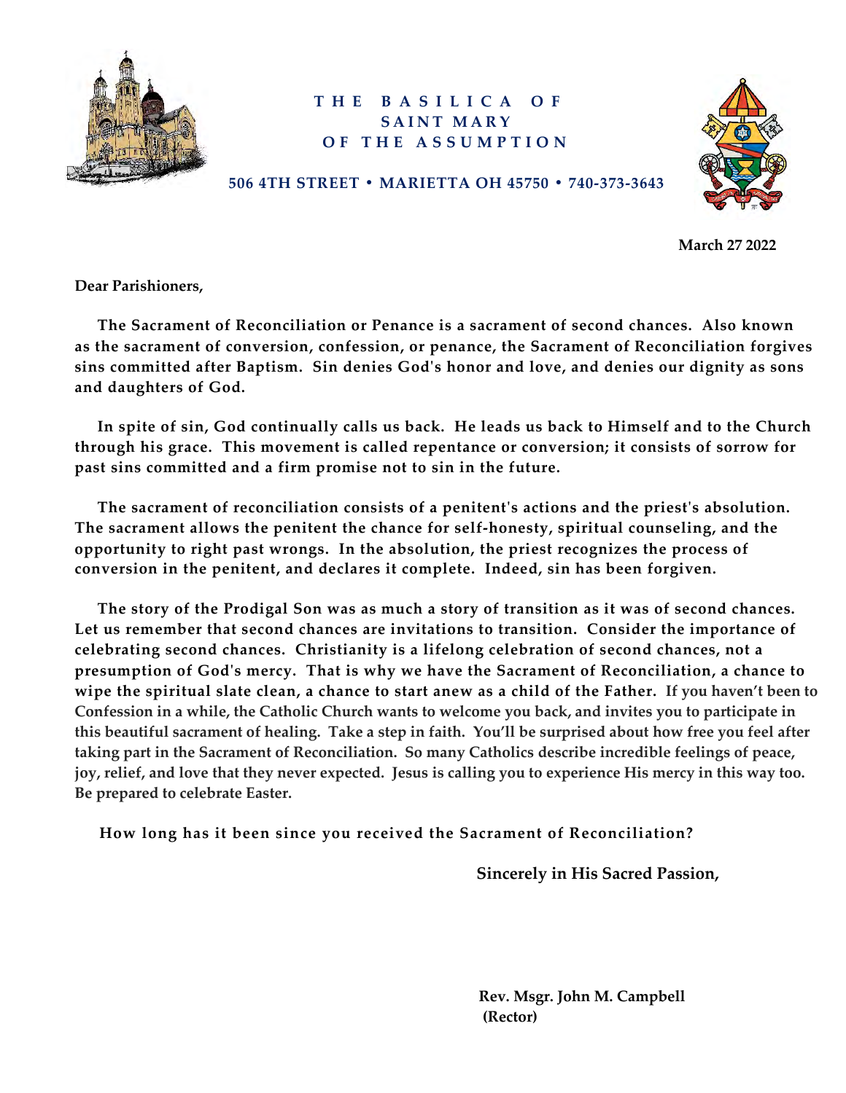

### **THE BASILICA OF SAINT MARY OF THE ASSUMPTION**



**506 4TH STREET • MARIETTA OH 45750 • 740-373-3643**

 **March 27 2022** 

**Dear Parishioners,** 

 **The Sacrament of Reconciliation or Penance is a sacrament of second chances. Also known as the sacrament of conversion, confession, or penance, the Sacrament of Reconciliation forgives sins committed after Baptism. Sin denies God's honor and love, and denies our dignity as sons and daughters of God.** 

 **In spite of sin, God continually calls us back. He leads us back to Himself and to the Church through his grace. This movement is called repentance or conversion; it consists of sorrow for past sins committed and a firm promise not to sin in the future.** 

 **The sacrament of reconciliation consists of a penitent's actions and the priest's absolution. The sacrament allows the penitent the chance for self-honesty, spiritual counseling, and the opportunity to right past wrongs. In the absolution, the priest recognizes the process of conversion in the penitent, and declares it complete. Indeed, sin has been forgiven.**

 **The story of the Prodigal Son was as much a story of transition as it was of second chances. Let us remember that second chances are invitations to transition. Consider the importance of celebrating second chances. Christianity is a lifelong celebration of second chances, not a presumption of God's mercy. That is why we have the Sacrament of Reconciliation, a chance to wipe the spiritual slate clean, a chance to start anew as a child of the Father. If you haven't been to Confession in a while, the Catholic Church wants to welcome you back, and invites you to participate in this beautiful sacrament of healing. Take a step in faith. You'll be surprised about how free you feel after taking part in the Sacrament of Reconciliation. So many Catholics describe incredible feelings of peace, joy, relief, and love that they never expected. Jesus is calling you to experience His mercy in this way too. Be prepared to celebrate Easter.**

 **How long has it been since you received the Sacrament of Reconciliation?** 

 **Sincerely in His Sacred Passion,**

 **Rev. Msgr. John M. Campbell (Rector)**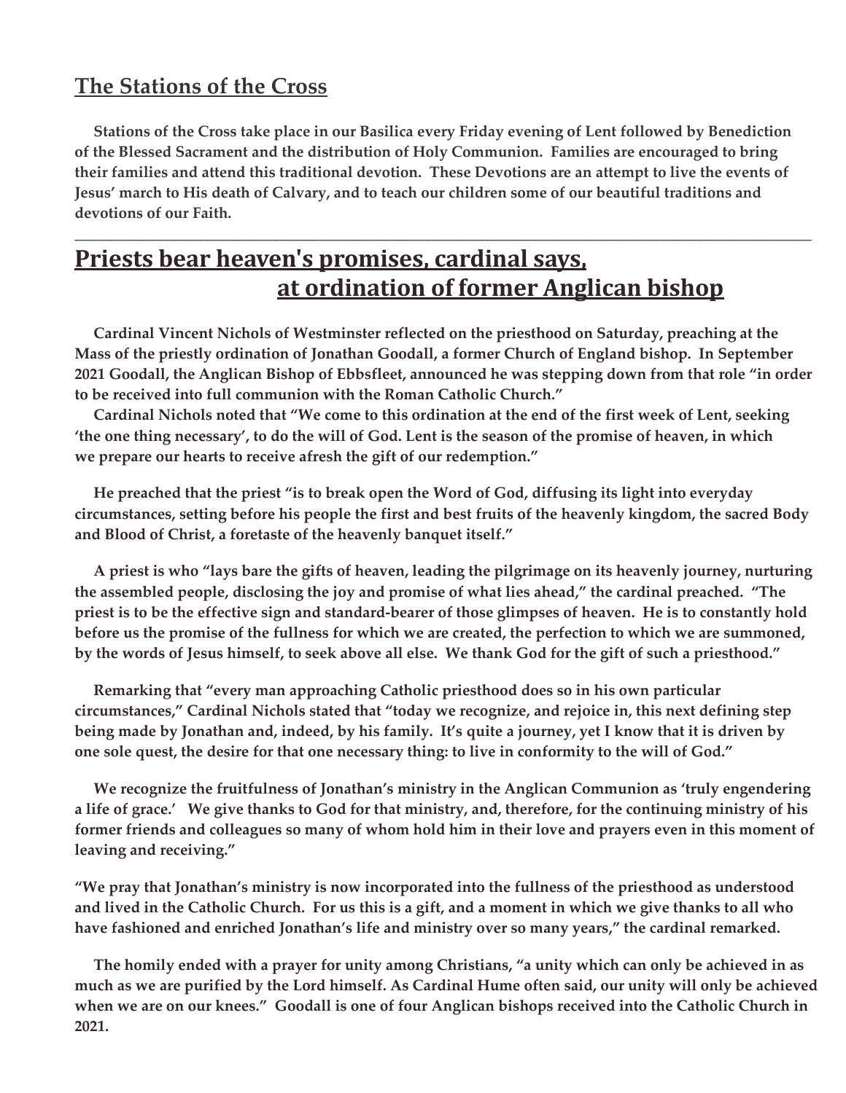## **The Stations of the Cross**

 **Stations of the Cross take place in our Basilica every Friday evening of Lent followed by Benediction of the Blessed Sacrament and the distribution of Holy Communion. Families are encouraged to bring their families and attend this traditional devotion. These Devotions are an attempt to live the events of Jesus' march to His death of Calvary, and to teach our children some of our beautiful traditions and devotions of our Faith.** 

**\_\_\_\_\_\_\_\_\_\_\_\_\_\_\_\_\_\_\_\_\_\_\_\_\_\_\_\_\_\_\_\_\_\_\_\_\_\_\_\_\_\_\_\_\_\_\_\_\_\_\_\_\_\_\_\_\_\_\_\_\_\_\_\_\_\_\_\_\_\_\_\_\_\_\_\_\_\_\_\_\_\_\_\_\_\_\_\_\_\_\_\_\_\_\_\_\_** 

## **Priests bear heaven's promises, cardinal says, at ordination of former Anglican bishop**

 **Cardinal Vincent Nichols of Westminster reflected on the priesthood on Saturday, preaching at the Mass of the priestly ordination of Jonathan Goodall, a former Church of England bishop. In September 2021 Goodall, the Anglican Bishop of Ebbsfleet, announced he was stepping down from that role "in order to be received into full communion with the Roman Catholic Church."**

 **Cardinal Nichols noted that "We come to this ordination at the end of the first week of Lent, seeking 'the one thing necessary', to do the will of God. Lent is the season of the promise of heaven, in which we prepare our hearts to receive afresh the gift of our redemption."**

 **He preached that the priest "is to break open the Word of God, diffusing its light into everyday circumstances, setting before his people the first and best fruits of the heavenly kingdom, the sacred Body and Blood of Christ, a foretaste of the heavenly banquet itself."**

 **A priest is who "lays bare the gifts of heaven, leading the pilgrimage on its heavenly journey, nurturing the assembled people, disclosing the joy and promise of what lies ahead," the cardinal preached. "The priest is to be the effective sign and standard-bearer of those glimpses of heaven. He is to constantly hold before us the promise of the fullness for which we are created, the perfection to which we are summoned, by the words of Jesus himself, to seek above all else. We thank God for the gift of such a priesthood."**

 **Remarking that "every man approaching Catholic priesthood does so in his own particular circumstances," Cardinal Nichols stated that "today we recognize, and rejoice in, this next defining step being made by Jonathan and, indeed, by his family. It's quite a journey, yet I know that it is driven by one sole quest, the desire for that one necessary thing: to live in conformity to the will of God."**

 **We recognize the fruitfulness of Jonathan's ministry in the Anglican Communion as 'truly engendering a life of grace.' We give thanks to God for that ministry, and, therefore, for the continuing ministry of his former friends and colleagues so many of whom hold him in their love and prayers even in this moment of leaving and receiving."**

**"We pray that Jonathan's ministry is now incorporated into the fullness of the priesthood as understood and lived in the Catholic Church. For us this is a gift, and a moment in which we give thanks to all who have fashioned and enriched Jonathan's life and ministry over so many years," the cardinal remarked.**

 **The homily ended with a prayer for unity among Christians, "a unity which can only be achieved in as much as we are purified by the Lord himself. As Cardinal Hume often said, our unity will only be achieved when we are on our knees." Goodall is one of four Anglican bishops received into the Catholic Church in 2021.**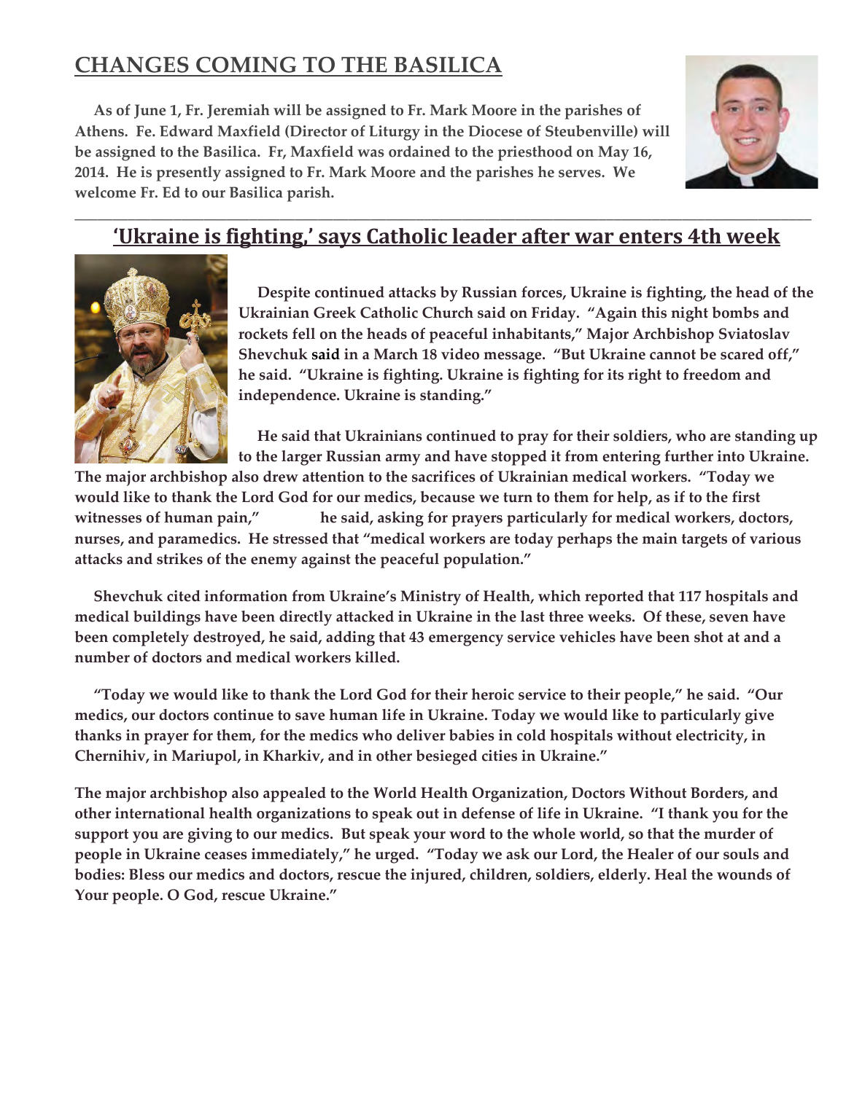## **CHANGES COMING TO THE BASILICA**

 **As of June 1, Fr. Jeremiah will be assigned to Fr. Mark Moore in the parishes of Athens. Fe. Edward Maxfield (Director of Liturgy in the Diocese of Steubenville) will be assigned to the Basilica. Fr, Maxfield was ordained to the priesthood on May 16, 2014. He is presently assigned to Fr. Mark Moore and the parishes he serves. We welcome Fr. Ed to our Basilica parish.** 



### \_\_\_\_\_\_\_\_\_\_\_\_\_\_\_\_\_\_\_\_\_\_\_\_\_\_\_\_\_\_\_\_\_\_\_\_\_\_\_\_\_\_\_\_\_\_\_\_\_\_\_\_\_\_\_\_\_\_\_\_\_\_\_\_\_\_\_\_\_\_\_\_\_\_\_\_\_\_\_\_\_\_\_\_\_\_\_\_\_\_\_\_\_\_\_\_\_ **'Ukraine is fighting,' says Catholic leader after war enters 4th week**



 **De**s**pite continued attacks by Russian forces, Ukraine is fighting, the head of the Ukrainian Greek Catholic Church said on Friday. "Again this night bombs and rockets fell on the heads of peaceful inhabitants," Major Archbishop Sviatoslav Shevchuk [said](http://news.ugcc.ua/en/articles/his_beatitude_sviatoslav_videomessage_march_18_2022_23rd_day_of_war_96128.html) in a March 18 video message. "But Ukraine cannot be scared off," he said. "Ukraine is fighting. Ukraine is fighting for its right to freedom and independence. Ukraine is standing."**

 **He said that Ukrainians continued to pray for their soldiers, who are standing up to the larger Russian army and have stopped it from entering further into Ukraine.** 

**The major archbishop also drew attention to the sacrifices of Ukrainian medical workers. "Today we would like to thank the Lord God for our medics, because we turn to them for help, as if to the first witnesses of human pain," he said, asking for prayers particularly for medical workers, doctors, nurses, and paramedics. He stressed that "medical workers are today perhaps the main targets of various attacks and strikes of the enemy against the peaceful population."**

 **Shevchuk cited information from Ukraine's Ministry of Health, which reported that 117 hospitals and medical buildings have been directly attacked in Ukraine in the last three weeks. Of these, seven have been completely destroyed, he said, adding that 43 emergency service vehicles have been shot at and a number of doctors and medical workers killed.**

 **"Today we would like to thank the Lord God for their heroic service to their people," he said. "Our medics, our doctors continue to save human life in Ukraine. Today we would like to particularly give thanks in prayer for them, for the medics who deliver babies in cold hospitals without electricity, in Chernihiv, in Mariupol, in Kharkiv, and in other besieged cities in Ukraine."**

**The major archbishop also appealed to the World Health Organization, Doctors Without Borders, and other international health organizations to speak out in defense of life in Ukraine. "I thank you for the support you are giving to our medics. But speak your word to the whole world, so that the murder of people in Ukraine ceases immediately," he urged. "Today we ask our Lord, the Healer of our souls and bodies: Bless our medics and doctors, rescue the injured, children, soldiers, elderly. Heal the wounds of Your people. O God, rescue Ukraine."**